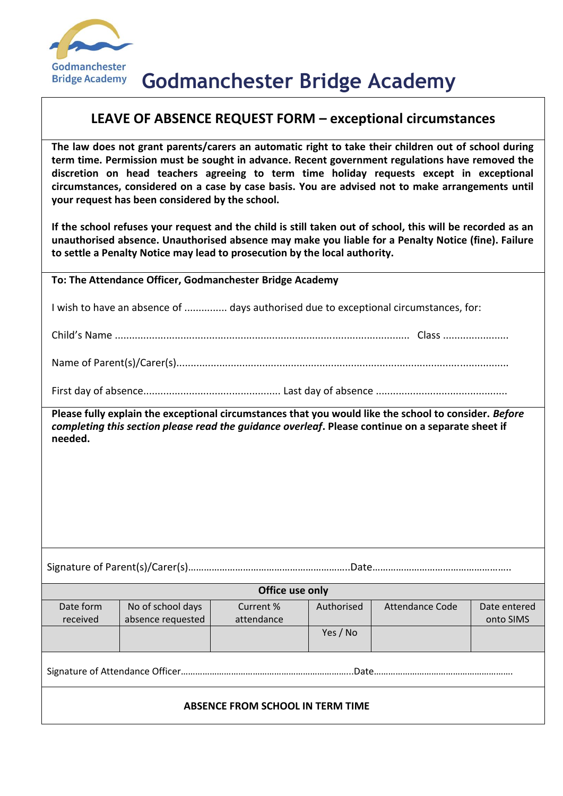

## **LEAVE OF ABSENCE REQUEST FORM – exceptional circumstances**

**The law does not grant parents/carers an automatic right to take their children out of school during term time. Permission must be sought in advance. Recent government regulations have removed the discretion on head teachers agreeing to term time holiday requests except in exceptional circumstances, considered on a case by case basis. You are advised not to make arrangements until your request has been considered by the school.**

**If the school refuses your request and the child is still taken out of school, this will be recorded as an unauthorised absence. Unauthorised absence may make you liable for a Penalty Notice (fine). Failure to settle a Penalty Notice may lead to prosecution by the local authority.**

**To: The Attendance Officer, Godmanchester Bridge Academy**

I wish to have an absence of ............... days authorised due to exceptional circumstances, for:

Child's Name ....................................................................................................... Class .......................

Name of Parent(s)/Carer(s)....................................................................................................................

First day of absence................................................ Last day of absence ..............................................

**Please fully explain the exceptional circumstances that you would like the school to consider.** *Before completing this section please read the guidance overleaf***. Please continue on a separate sheet if needed.**

Signature of Parent(s)/Carer(s)……………………………………………………..Date……………………………………………..

| Office use only |                   |            |            |                 |              |  |
|-----------------|-------------------|------------|------------|-----------------|--------------|--|
| Date form       | No of school days | Current %  | Authorised | Attendance Code | Date entered |  |
| received        | absence requested | attendance |            |                 | onto SIMS    |  |
|                 |                   |            | Yes / No   |                 |              |  |
|                 |                   |            |            |                 |              |  |
|                 |                   |            | Date.      |                 |              |  |
|                 |                   |            |            |                 |              |  |

## **ABSENCE FROM SCHOOL IN TERM TIME**